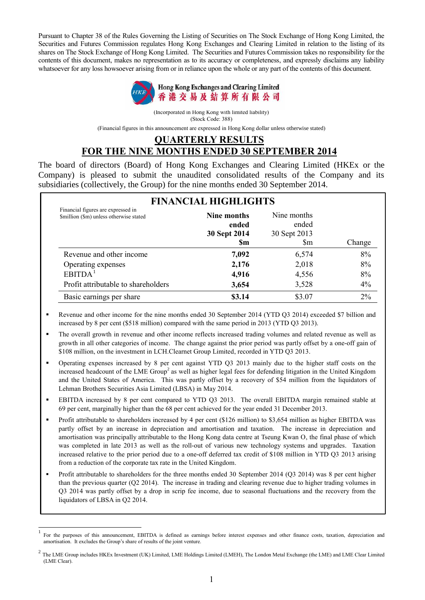Pursuant to Chapter 38 of the Rules Governing the Listing of Securities on The Stock Exchange of Hong Kong Limited, the Securities and Futures Commission regulates Hong Kong Exchanges and Clearing Limited in relation to the listing of its shares on The Stock Exchange of Hong Kong Limited. The Securities and Futures Commission takes no responsibility for the contents of this document, makes no representation as to its accuracy or completeness, and expressly disclaims any liability whatsoever for any loss howsoever arising from or in reliance upon the whole or any part of the contents of this document.



(Incorporated in Hong Kong with limited liability) (Stock Code: 388)

(Financial figures in this announcement are expressed in Hong Kong dollar unless otherwise stated)

#### **QUARTERLY RESULTS FOR THE NINE MONTHS ENDED 30 SEPTEMBER 2014**

The board of directors (Board) of Hong Kong Exchanges and Clearing Limited (HKEx or the Company) is pleased to submit the unaudited consolidated results of the Company and its subsidiaries (collectively, the Group) for the nine months ended 30 September 2014.

| Financial figures are expressed in<br>\$million (\$m) unless otherwise stated | Nine months<br>ended<br>30 Sept 2014<br><b>Sm</b> | Nine months<br>ended<br>30 Sept 2013<br>Sm | Change |
|-------------------------------------------------------------------------------|---------------------------------------------------|--------------------------------------------|--------|
| Revenue and other income                                                      | 7,092                                             | 6,574                                      | 8%     |
| Operating expenses                                                            | 2,176                                             | 2,018                                      | 8%     |
| <b>EBITDA</b>                                                                 | 4,916                                             | 4,556                                      | 8%     |
| Profit attributable to shareholders                                           | 3,654                                             | 3,528                                      | 4%     |
| Basic earnings per share                                                      | \$3.14                                            | \$3.07                                     | 2%     |

- Revenue and other income for the nine months ended 30 September 2014 (YTD Q3 2014) exceeded \$7 billion and increased by 8 per cent (\$518 million) compared with the same period in 2013 (YTD Q3 2013).
- The overall growth in revenue and other income reflects increased trading volumes and related revenue as well as growth in all other categories of income. The change against the prior period was partly offset by a one-off gain of \$108 million, on the investment in LCH.Clearnet Group Limited, recorded in YTD Q3 2013.
- Operating expenses increased by 8 per cent against YTD Q3 2013 mainly due to the higher staff costs on the increased headcount of the LME Group<sup>2</sup> as well as higher legal fees for defending litigation in the United Kingdom and the United States of America. This was partly offset by a recovery of \$54 million from the liquidators of Lehman Brothers Securities Asia Limited (LBSA) in May 2014.
- EBITDA increased by 8 per cent compared to YTD Q3 2013. The overall EBITDA margin remained stable at 69 per cent, marginally higher than the 68 per cent achieved for the year ended 31 December 2013.
- Profit attributable to shareholders increased by 4 per cent (\$126 million) to \$3,654 million as higher EBITDA was partly offset by an increase in depreciation and amortisation and taxation. The increase in depreciation and amortisation was principally attributable to the Hong Kong data centre at Tseung Kwan O, the final phase of which was completed in late 2013 as well as the roll-out of various new technology systems and upgrades. Taxation increased relative to the prior period due to a one-off deferred tax credit of \$108 million in YTD Q3 2013 arising from a reduction of the corporate tax rate in the United Kingdom.
- Profit attributable to shareholders for the three months ended 30 September 2014 (Q3 2014) was 8 per cent higher than the previous quarter (Q2 2014). The increase in trading and clearing revenue due to higher trading volumes in Q3 2014 was partly offset by a drop in scrip fee income, due to seasonal fluctuations and the recovery from the liquidators of LBSA in Q2 2014.

 $\overline{1}$ 1 For the purposes of this announcement, EBITDA is defined as earnings before interest expenses and other finance costs, taxation, depreciation and amortisation. It excludes the Group's share of results of the joint venture.

 $^2$  The LME Group includes HKEx Investment (UK) Limited, LME Holdings Limited (LMEH), The London Metal Exchange (the LME) and LME Clear Limited (LME Clear).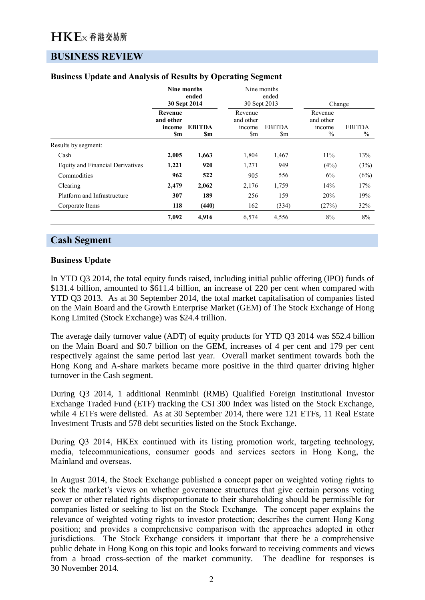## **(119) BUSINESS REVIEW**

|                                         |                                              | <b>Nine months</b><br>ended<br>30 Sept 2014 |                                                              | Nine months<br>ended<br>30 Sept 2013 | Change                                          |                       |
|-----------------------------------------|----------------------------------------------|---------------------------------------------|--------------------------------------------------------------|--------------------------------------|-------------------------------------------------|-----------------------|
|                                         | <b>Revenue</b><br>and other<br>income<br>\$m | <b>EBITDA</b><br>\$m                        | Revenue<br>and other<br>income<br>$\mathop{\rm Sm}\nolimits$ | <b>EBITDA</b><br>\$m                 | Revenue<br>and other<br>income<br>$\frac{0}{0}$ | <b>EBITDA</b><br>$\%$ |
| Results by segment:                     |                                              |                                             |                                                              |                                      |                                                 |                       |
| Cash                                    | 2,005                                        | 1,663                                       | 1,804                                                        | 1,467                                | 11%                                             | 13%                   |
| <b>Equity and Financial Derivatives</b> | 1,221                                        | 920                                         | 1,271                                                        | 949                                  | (4%)                                            | (3%)                  |
| Commodities                             | 962                                          | 522                                         | 905                                                          | 556                                  | 6%                                              | (6%)                  |
| Clearing                                | 2,479                                        | 2,062                                       | 2,176                                                        | 1,759                                | 14%                                             | 17%                   |
| Platform and Infrastructure             | 307                                          | 189                                         | 256                                                          | 159                                  | 20%                                             | 19%                   |
| Corporate Items                         | 118                                          | (440)                                       | 162                                                          | (334)                                | (27%)                                           | 32%                   |
|                                         | 7,092                                        | 4,916                                       | 6,574                                                        | 4,556                                | 8%                                              | 8%                    |

### **Business Update and Analysis of Results by Operating Segment**

### **Cash Segment**

#### **Business Update**

In YTD Q3 2014, the total equity funds raised, including initial public offering (IPO) funds of \$131.4 billion, amounted to \$611.4 billion, an increase of 220 per cent when compared with YTD Q3 2013. As at 30 September 2014, the total market capitalisation of companies listed on the Main Board and the Growth Enterprise Market (GEM) of The Stock Exchange of Hong Kong Limited (Stock Exchange) was \$24.4 trillion.

The average daily turnover value (ADT) of equity products for YTD Q3 2014 was \$52.4 billion on the Main Board and \$0.7 billion on the GEM, increases of 4 per cent and 179 per cent respectively against the same period last year. Overall market sentiment towards both the Hong Kong and A-share markets became more positive in the third quarter driving higher turnover in the Cash segment.

During Q3 2014, 1 additional Renminbi (RMB) Qualified Foreign Institutional Investor Exchange Traded Fund (ETF) tracking the CSI 300 Index was listed on the Stock Exchange, while 4 ETFs were delisted. As at 30 September 2014, there were 121 ETFs, 11 Real Estate Investment Trusts and 578 debt securities listed on the Stock Exchange.

During Q3 2014, HKEx continued with its listing promotion work, targeting technology, media, telecommunications, consumer goods and services sectors in Hong Kong, the Mainland and overseas.

In August 2014, the Stock Exchange published a concept paper on weighted voting rights to seek the market's views on whether governance structures that give certain persons voting power or other related rights disproportionate to their shareholding should be permissible for companies listed or seeking to list on the Stock Exchange. The concept paper explains the relevance of weighted voting rights to investor protection; describes the current Hong Kong position; and provides a comprehensive comparison with the approaches adopted in other jurisdictions. The Stock Exchange considers it important that there be a comprehensive public debate in Hong Kong on this topic and looks forward to receiving comments and views from a broad cross-section of the market community. The deadline for responses is 30 November 2014.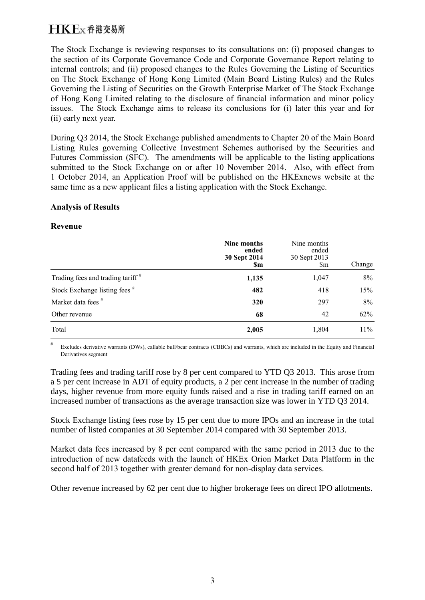The Stock Exchange is reviewing responses to its consultations on: (i) proposed changes to the section of its Corporate Governance Code and Corporate Governance Report relating to internal controls; and (ii) proposed changes to the Rules Governing the Listing of Securities on The Stock Exchange of Hong Kong Limited (Main Board Listing Rules) and the Rules Governing the Listing of Securities on the Growth Enterprise Market of The Stock Exchange of Hong Kong Limited relating to the disclosure of financial information and minor policy issues. The Stock Exchange aims to release its conclusions for (i) later this year and for (ii) early next year.

During Q3 2014, the Stock Exchange published amendments to Chapter 20 of the Main Board Listing Rules governing Collective Investment Schemes authorised by the Securities and Futures Commission (SFC). The amendments will be applicable to the listing applications submitted to the Stock Exchange on or after 10 November 2014. Also, with effect from 1 October 2014, an Application Proof will be published on the HKExnews website at the same time as a new applicant files a listing application with the Stock Exchange.

#### **Analysis of Results**

#### **Revenue**

|                                              | Nine months<br>ended<br>30 Sept 2014<br><b>Sm</b> | Nine months<br>ended<br>30 Sept 2013<br>$\mathbf{\S}$ m | Change |
|----------------------------------------------|---------------------------------------------------|---------------------------------------------------------|--------|
| Trading fees and trading tariff <sup>#</sup> | 1,135                                             | 1,047                                                   | 8%     |
| Stock Exchange listing fees <sup>#</sup>     | 482                                               | 418                                                     | 15%    |
| Market data fees <sup>#</sup>                | 320                                               | 297                                                     | 8%     |
| Other revenue                                | 68                                                | 42                                                      | 62%    |
| Total                                        | 2,005                                             | 1,804                                                   | 11%    |

Excludes derivative warrants (DWs), callable bull/bear contracts (CBBCs) and warrants, which are included in the Equity and Financial Derivatives segment

Trading fees and trading tariff rose by 8 per cent compared to YTD Q3 2013. This arose from a 5 per cent increase in ADT of equity products, a 2 per cent increase in the number of trading days, higher revenue from more equity funds raised and a rise in trading tariff earned on an increased number of transactions as the average transaction size was lower in YTD Q3 2014.

Stock Exchange listing fees rose by 15 per cent due to more IPOs and an increase in the total number of listed companies at 30 September 2014 compared with 30 September 2013.

Market data fees increased by 8 per cent compared with the same period in 2013 due to the introduction of new datafeeds with the launch of HKEx Orion Market Data Platform in the second half of 2013 together with greater demand for non-display data services.

Other revenue increased by 62 per cent due to higher brokerage fees on direct IPO allotments.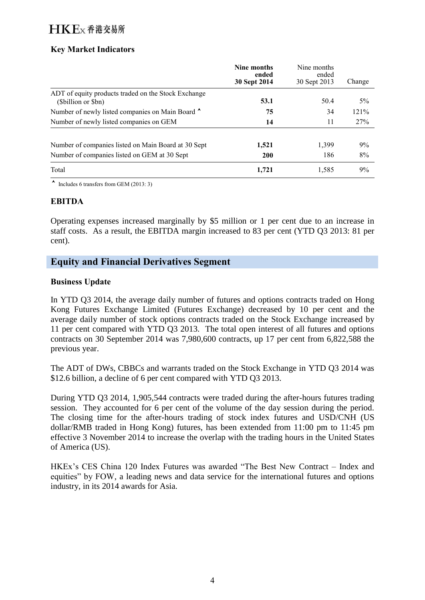### **Key Market Indicators**

|                                                                          | Nine months<br>ended<br>30 Sept 2014 | Nine months<br>ended<br>30 Sept 2013 | Change |
|--------------------------------------------------------------------------|--------------------------------------|--------------------------------------|--------|
| ADT of equity products traded on the Stock Exchange<br>(Sbillion or Sbn) | 53.1                                 | 50.4                                 | $5\%$  |
| Number of newly listed companies on Main Board ^                         | 75                                   | 34                                   | 121%   |
| Number of newly listed companies on GEM                                  | 14                                   | 11                                   | 27%    |
| Number of companies listed on Main Board at 30 Sept                      | 1,521                                | 1,399                                | 9%     |
| Number of companies listed on GEM at 30 Sept                             | <b>200</b>                           | 186                                  | 8%     |
| Total                                                                    | 1.721                                | 1,585                                | 9%     |

 $\sim$  Includes 6 transfers from GEM (2013: 3)

### **EBITDA**

Operating expenses increased marginally by \$5 million or 1 per cent due to an increase in staff costs. As a result, the EBITDA margin increased to 83 per cent (YTD Q3 2013: 81 per cent).

### **Equity and Financial Derivatives Segment**

### **Business Update**

In YTD Q3 2014, the average daily number of futures and options contracts traded on Hong Kong Futures Exchange Limited (Futures Exchange) decreased by 10 per cent and the average daily number of stock options contracts traded on the Stock Exchange increased by 11 per cent compared with YTD Q3 2013. The total open interest of all futures and options contracts on 30 September 2014 was 7,980,600 contracts, up 17 per cent from 6,822,588 the previous year.

The ADT of DWs, CBBCs and warrants traded on the Stock Exchange in YTD Q3 2014 was \$12.6 billion, a decline of 6 per cent compared with YTD Q3 2013.

During YTD Q3 2014, 1,905,544 contracts were traded during the after-hours futures trading session. They accounted for 6 per cent of the volume of the day session during the period. The closing time for the after-hours trading of stock index futures and USD/CNH (US dollar/RMB traded in Hong Kong) futures, has been extended from 11:00 pm to 11:45 pm effective 3 November 2014 to increase the overlap with the trading hours in the United States of America (US).

HKEx's CES China 120 Index Futures was awarded "The Best New Contract – Index and equities" by FOW, a leading news and data service for the international futures and options industry, in its 2014 awards for Asia.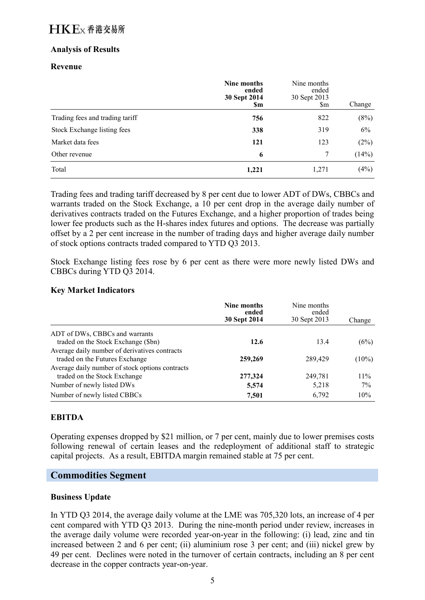### **Analysis of Results**

### **Revenue**

|                                 | Nine months<br>ended<br>30 Sept 2014<br>Sm | Nine months<br>ended<br>30 Sept 2013<br>$\mathbb{S}_{m}$ | Change |
|---------------------------------|--------------------------------------------|----------------------------------------------------------|--------|
| Trading fees and trading tariff | 756                                        | 822                                                      | (8%)   |
| Stock Exchange listing fees     | 338                                        | 319                                                      | 6%     |
| Market data fees                | 121                                        | 123                                                      | (2%)   |
| Other revenue                   | 6                                          | 7                                                        | (14%)  |
| Total                           | 1,221                                      | 1,271                                                    | (4%)   |

Trading fees and trading tariff decreased by 8 per cent due to lower ADT of DWs, CBBCs and warrants traded on the Stock Exchange, a 10 per cent drop in the average daily number of derivatives contracts traded on the Futures Exchange, and a higher proportion of trades being lower fee products such as the H-shares index futures and options. The decrease was partially offset by a 2 per cent increase in the number of trading days and higher average daily number of stock options contracts traded compared to YTD Q3 2013.

Stock Exchange listing fees rose by 6 per cent as there were more newly listed DWs and CBBCs during YTD Q3 2014.

### **Key Market Indicators**

|                                                 | Nine months<br>ended<br>30 Sept 2014 | Nine months<br>ended<br>30 Sept 2013 | Change   |
|-------------------------------------------------|--------------------------------------|--------------------------------------|----------|
| ADT of DWs, CBBCs and warrants                  |                                      |                                      |          |
| traded on the Stock Exchange (\$bn)             | 12.6                                 | 13.4                                 | (6%)     |
| Average daily number of derivatives contracts   |                                      |                                      |          |
| traded on the Futures Exchange                  | 259,269                              | 289,429                              | $(10\%)$ |
| Average daily number of stock options contracts |                                      |                                      |          |
| traded on the Stock Exchange                    | 277,324                              | 249,781                              | 11%      |
| Number of newly listed DWs                      | 5,574                                | 5,218                                | $7\%$    |
| Number of newly listed CBBCs                    | 7,501                                | 6,792                                | 10%      |

### **EBITDA**

Operating expenses dropped by \$21 million, or 7 per cent, mainly due to lower premises costs following renewal of certain leases and the redeployment of additional staff to strategic capital projects. As a result, EBITDA margin remained stable at 75 per cent.

### **Commodities Segment**

### **Business Update**

In YTD Q3 2014, the average daily volume at the LME was 705,320 lots, an increase of 4 per cent compared with YTD Q3 2013. During the nine-month period under review, increases in the average daily volume were recorded year-on-year in the following: (i) lead, zinc and tin increased between 2 and 6 per cent; (ii) aluminium rose 3 per cent; and (iii) nickel grew by 49 per cent. Declines were noted in the turnover of certain contracts, including an 8 per cent decrease in the copper contracts year-on-year.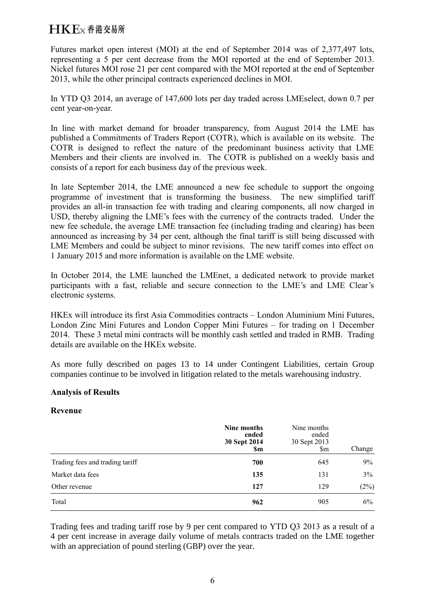Futures market open interest (MOI) at the end of September 2014 was of 2,377,497 lots, representing a 5 per cent decrease from the MOI reported at the end of September 2013. Nickel futures MOI rose 21 per cent compared with the MOI reported at the end of September 2013, while the other principal contracts experienced declines in MOI.

In YTD Q3 2014, an average of 147,600 lots per day traded across LMEselect, down 0.7 per cent year-on-year.

In line with market demand for broader transparency, from August 2014 the LME has published a Commitments of Traders Report (COTR), which is available on its website. The COTR is designed to reflect the nature of the predominant business activity that LME Members and their clients are involved in. The COTR is published on a weekly basis and consists of a report for each business day of the previous week.

In late September 2014, the LME announced a new fee schedule to support the ongoing programme of investment that is transforming the business. The new simplified tariff provides an all-in transaction fee with trading and clearing components, all now charged in USD, thereby aligning the LME's fees with the currency of the contracts traded. Under the new fee schedule, the average LME transaction fee (including trading and clearing) has been announced as increasing by 34 per cent, although the final tariff is still being discussed with LME Members and could be subject to minor revisions. The new tariff comes into effect on 1 January 2015 and more information is available on the LME website.

In October 2014, the LME launched the LMEnet, a dedicated network to provide market participants with a fast, reliable and secure connection to the LME's and LME Clear's electronic systems.

HKEx will introduce its first Asia Commodities contracts – London Aluminium Mini Futures, London Zinc Mini Futures and London Copper Mini Futures – for trading on 1 December 2014. These 3 metal mini contracts will be monthly cash settled and traded in RMB. Trading details are available on the HKEx website.

As more fully described on pages 13 to 14 under Contingent Liabilities, certain Group companies continue to be involved in litigation related to the metals warehousing industry.

#### **Analysis of Results**

### **Revenue**

|                                 | Nine months<br>ended<br>30 Sept 2014<br>\$m | Nine months<br>ended<br>30 Sept 2013<br>$\mathsf{Sm}$ | Change |
|---------------------------------|---------------------------------------------|-------------------------------------------------------|--------|
| Trading fees and trading tariff | 700                                         | 645                                                   | 9%     |
| Market data fees                | 135                                         | 131                                                   | 3%     |
| Other revenue                   | 127                                         | 129                                                   | (2%)   |
| Total                           | 962                                         | 905                                                   | 6%     |

Trading fees and trading tariff rose by 9 per cent compared to YTD Q3 2013 as a result of a 4 per cent increase in average daily volume of metals contracts traded on the LME together with an appreciation of pound sterling (GBP) over the year.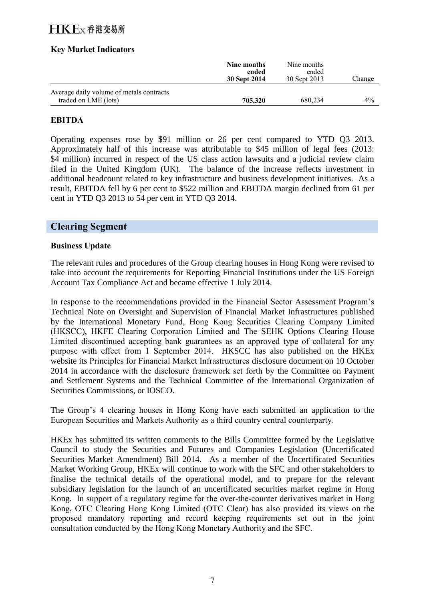### **Key Market Indicators**

|                                                                  | Nine months<br>ended<br>30 Sept 2014 | Nine months<br>ended<br>30 Sept 2013 | Change |
|------------------------------------------------------------------|--------------------------------------|--------------------------------------|--------|
| Average daily volume of metals contracts<br>traded on LME (lots) | 705.320                              | 680.234                              | $4\%$  |

#### **EBITDA**

Operating expenses rose by \$91 million or 26 per cent compared to YTD Q3 2013. Approximately half of this increase was attributable to \$45 million of legal fees (2013: \$4 million) incurred in respect of the US class action lawsuits and a judicial review claim filed in the United Kingdom (UK). The balance of the increase reflects investment in additional headcount related to key infrastructure and business development initiatives. As a result, EBITDA fell by 6 per cent to \$522 million and EBITDA margin declined from 61 per cent in YTD Q3 2013 to 54 per cent in YTD Q3 2014.

### **Clearing Segment**

#### **Business Update**

The relevant rules and procedures of the Group clearing houses in Hong Kong were revised to take into account the requirements for Reporting Financial Institutions under the US Foreign Account Tax Compliance Act and became effective 1 July 2014.

In response to the recommendations provided in the Financial Sector Assessment Program's Technical Note on Oversight and Supervision of Financial Market Infrastructures published by the International Monetary Fund, Hong Kong Securities Clearing Company Limited (HKSCC), HKFE Clearing Corporation Limited and The SEHK Options Clearing House Limited discontinued accepting bank guarantees as an approved type of collateral for any purpose with effect from 1 September 2014. HKSCC has also published on the HKEx website its Principles for Financial Market Infrastructures disclosure document on 10 October 2014 in accordance with the disclosure framework set forth by the Committee on Payment and Settlement Systems and the Technical Committee of the International Organization of Securities Commissions, or IOSCO.

The Group's 4 clearing houses in Hong Kong have each submitted an application to the European Securities and Markets Authority as a third country central counterparty.

HKEx has submitted its written comments to the Bills Committee formed by the Legislative Council to study the Securities and Futures and Companies Legislation (Uncertificated Securities Market Amendment) Bill 2014. As a member of the Uncertificated Securities Market Working Group, HKEx will continue to work with the SFC and other stakeholders to finalise the technical details of the operational model, and to prepare for the relevant subsidiary legislation for the launch of an uncertificated securities market regime in Hong Kong. In support of a regulatory regime for the over-the-counter derivatives market in Hong Kong, OTC Clearing Hong Kong Limited (OTC Clear) has also provided its views on the proposed mandatory reporting and record keeping requirements set out in the joint consultation conducted by the Hong Kong Monetary Authority and the SFC.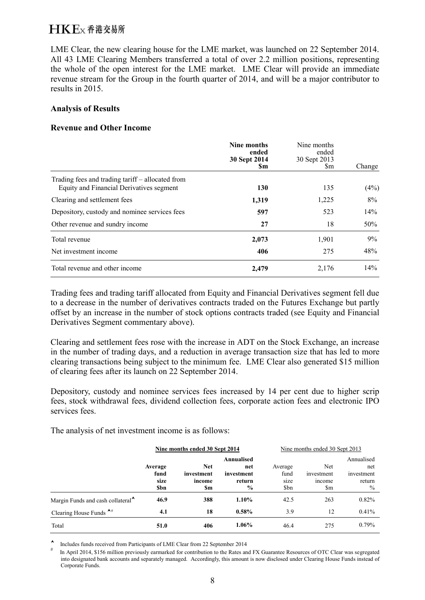LME Clear, the new clearing house for the LME market, was launched on 22 September 2014. All 43 LME Clearing Members transferred a total of over 2.2 million positions, representing the whole of the open interest for the LME market. LME Clear will provide an immediate revenue stream for the Group in the fourth quarter of 2014, and will be a major contributor to results in 2015.

#### **Analysis of Results**

#### **Revenue and Other Income**

|                                                                                              | Nine months<br>ended<br>30 Sept 2014<br>Sm | Nine months<br>ended<br>30 Sept 2013<br>Sm. | Change |
|----------------------------------------------------------------------------------------------|--------------------------------------------|---------------------------------------------|--------|
| Trading fees and trading tariff – allocated from<br>Equity and Financial Derivatives segment | 130                                        | 135                                         | (4%)   |
| Clearing and settlement fees                                                                 | 1,319                                      | 1,225                                       | 8%     |
| Depository, custody and nominee services fees                                                | 597                                        | 523                                         | 14%    |
| Other revenue and sundry income                                                              | 27                                         | 18                                          | 50%    |
| Total revenue                                                                                | 2,073                                      | 1,901                                       | 9%     |
| Net investment income                                                                        | 406                                        | 275                                         | 48%    |
| Total revenue and other income                                                               | 2,479                                      | 2,176                                       | 14%    |

Trading fees and trading tariff allocated from Equity and Financial Derivatives segment fell due to a decrease in the number of derivatives contracts traded on the Futures Exchange but partly offset by an increase in the number of stock options contracts traded (see Equity and Financial Derivatives Segment commentary above).

Clearing and settlement fees rose with the increase in ADT on the Stock Exchange, an increase in the number of trading days, and a reduction in average transaction size that has led to more clearing transactions being subject to the minimum fee. LME Clear also generated \$15 million of clearing fees after its launch on 22 September 2014.

Depository, custody and nominee services fees increased by 14 per cent due to higher scrip fees, stock withdrawal fees, dividend collection fees, corporate action fees and electronic IPO services fees.

The analysis of net investment income is as follows:

|                                               | Nine months ended 30 Sept 2014 |            |               | Nine months ended 30 Sept 2013 |            |               |
|-----------------------------------------------|--------------------------------|------------|---------------|--------------------------------|------------|---------------|
|                                               |                                |            | Annualised    |                                |            | Annualised    |
|                                               | Average                        | <b>Net</b> | net           | Average                        | Net        | net           |
|                                               | fund                           | investment | investment    | fund                           | investment | investment    |
|                                               | size                           | income     | return        | size                           | income     | return        |
|                                               | <b>Sbn</b>                     | \$m        | $\frac{6}{9}$ | \$bn                           | \$m        | $\frac{0}{0}$ |
| Margin Funds and cash collateral <sup>^</sup> | 46.9                           | 388        | $1.10\%$      | 42.5                           | 263        | 0.82%         |
| Clearing House Funds $A#$                     | 4.1                            | 18         | $0.58\%$      | 3.9                            | 12         | 0.41%         |
| Total                                         | 51.0                           | 406        | 1.06%         | 46.4                           | 275        | 0.79%         |

Includes funds received from Participants of LME Clear from 22 September 2014

In April 2014, \$156 million previously earmarked for contribution to the Rates and FX Guarantee Resources of OTC Clear was segregated into designated bank accounts and separately managed. Accordingly, this amount is now disclosed under Clearing House Funds instead of Corporate Funds.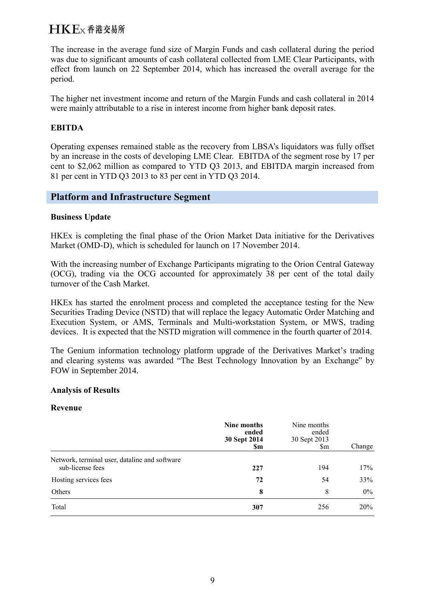The increase in the average fund size of Margin Funds and cash collateral during the period was due to significant amounts of cash collateral collected from LME Clear Participants, with effect from launch on 22 September 2014, which has increased the overall average for the period.

The higher net investment income and return of the Margin Funds and cash collateral in 2014 were mainly attributable to a rise in interest income from higher bank deposit rates.

### **EBITDA**

Operating expenses remained stable as the recovery from LBSA's liquidators was fully offset by an increase in the costs of developing LME Clear. EBITDA of the segment rose by 17 per cent to \$2,062 million as compared to YTD Q3 2013, and EBITDA margin increased from 81 per cent in YTD Q3 2013 to 83 per cent in YTD Q3 2014.

### **Platform and Infrastructure Segment**

### **Business Update**

HKEx is completing the final phase of the Orion Market Data initiative for the Derivatives Market (OMD-D), which is scheduled for launch on 17 November 2014.

With the increasing number of Exchange Participants migrating to the Orion Central Gateway (OCG), trading via the OCG accounted for approximately 38 per cent of the total daily turnover of the Cash Market.

HKEx has started the enrolment process and completed the acceptance testing for the New Securities Trading Device (NSTD) that will replace the legacy Automatic Order Matching and Execution System, or AMS, Terminals and Multi-workstation System, or MWS, trading devices. It is expected that the NSTD migration will commence in the fourth quarter of 2014.

The Genium information technology platform upgrade of the Derivatives Market's trading and clearing systems was awarded "The Best Technology Innovation by an Exchange" by FOW in September 2014.

#### **Analysis of Results**

#### **Revenue**

|                                                                   | Nine months<br>ended<br>30 Sept 2014<br><b>Sm</b> | Nine months<br>ended<br>30 Sept 2013<br>$\mathbb{S}_{m}$ | Change |
|-------------------------------------------------------------------|---------------------------------------------------|----------------------------------------------------------|--------|
| Network, terminal user, dataline and software<br>sub-license fees | 227                                               | 194                                                      | 17%    |
| Hosting services fees                                             | 72                                                | 54                                                       | 33%    |
| Others                                                            | 8                                                 | 8                                                        | $0\%$  |
| Total                                                             | 307                                               | 256                                                      | 20%    |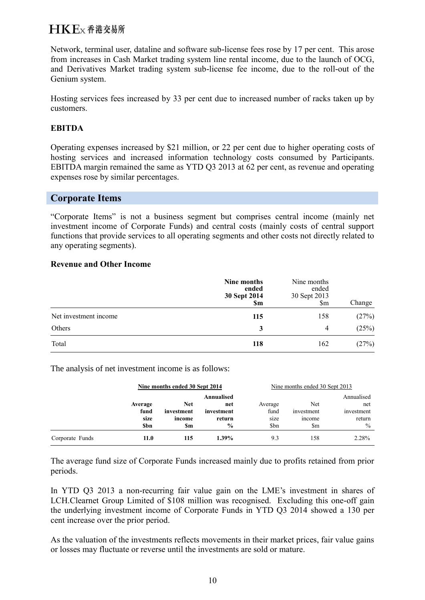Network, terminal user, dataline and software sub-license fees rose by 17 per cent. This arose from increases in Cash Market trading system line rental income, due to the launch of OCG, and Derivatives Market trading system sub-license fee income, due to the roll-out of the Genium system.

Hosting services fees increased by 33 per cent due to increased number of racks taken up by customers.

### **EBITDA**

Operating expenses increased by \$21 million, or 22 per cent due to higher operating costs of hosting services and increased information technology costs consumed by Participants. EBITDA margin remained the same as YTD Q3 2013 at 62 per cent, as revenue and operating expenses rose by similar percentages.

### **Corporate Items**

"Corporate Items" is not a business segment but comprises central income (mainly net investment income of Corporate Funds) and central costs (mainly costs of central support functions that provide services to all operating segments and other costs not directly related to any operating segments).

#### **Revenue and Other Income**

|                       | Nine months<br>ended<br>30 Sept 2014<br>\$m | Nine months<br>ended<br>30 Sept 2013<br>$\mathop{\mathrm{Sm}}$ | Change |
|-----------------------|---------------------------------------------|----------------------------------------------------------------|--------|
| Net investment income | 115                                         | 158                                                            | (27%)  |
| Others                | 3                                           | 4                                                              | (25%)  |
| Total                 | 118                                         | 162                                                            | (27%)  |

The analysis of net investment income is as follows:

|                 |                                | Nine months ended 30 Sept 2014            |                                                            | Nine months ended 30 Sept 2013  |                                          |                                                            |  |
|-----------------|--------------------------------|-------------------------------------------|------------------------------------------------------------|---------------------------------|------------------------------------------|------------------------------------------------------------|--|
|                 | Average<br>fund<br>size<br>Sbn | <b>Net</b><br>investment<br>income<br>\$m | Annualised<br>net<br>investment<br>return<br>$\frac{0}{0}$ | Average<br>fund<br>size<br>\$bn | Net<br>investment<br><i>ncome</i><br>\$m | Annualised<br>net<br>investment<br>return<br>$\frac{0}{0}$ |  |
| Corporate Funds | 11.0                           | 115                                       | $1.39\%$                                                   | 9.3                             | 158                                      | 2.28%                                                      |  |

The average fund size of Corporate Funds increased mainly due to profits retained from prior periods.

In YTD Q3 2013 a non-recurring fair value gain on the LME's investment in shares of LCH.Clearnet Group Limited of \$108 million was recognised. Excluding this one-off gain the underlying investment income of Corporate Funds in YTD Q3 2014 showed a 130 per cent increase over the prior period.

As the valuation of the investments reflects movements in their market prices, fair value gains or losses may fluctuate or reverse until the investments are sold or mature.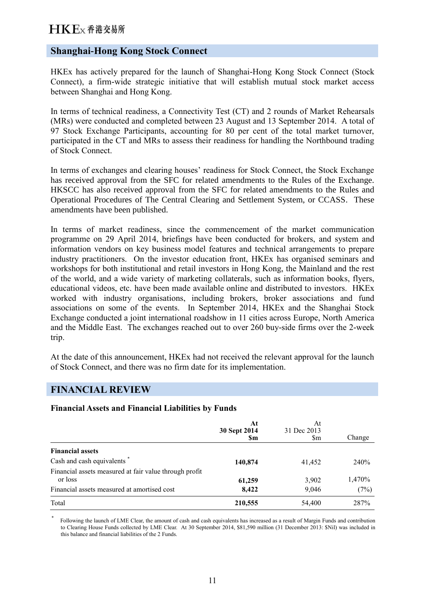### **Shanghai-Hong Kong Stock Connect**

HKEx has actively prepared for the launch of Shanghai-Hong Kong Stock Connect (Stock Connect), a firm-wide strategic initiative that will establish mutual stock market access between Shanghai and Hong Kong.

In terms of technical readiness, a Connectivity Test (CT) and 2 rounds of Market Rehearsals (MRs) were conducted and completed between 23 August and 13 September 2014. A total of 97 Stock Exchange Participants, accounting for 80 per cent of the total market turnover, participated in the CT and MRs to assess their readiness for handling the Northbound trading of Stock Connect.

In terms of exchanges and clearing houses' readiness for Stock Connect, the Stock Exchange has received approval from the SFC for related amendments to the Rules of the Exchange. HKSCC has also received approval from the SFC for related amendments to the Rules and Operational Procedures of The Central Clearing and Settlement System, or CCASS. These amendments have been published.

In terms of market readiness, since the commencement of the market communication programme on 29 April 2014, briefings have been conducted for brokers, and system and information vendors on key business model features and technical arrangements to prepare industry practitioners. On the investor education front, HKEx has organised seminars and workshops for both institutional and retail investors in Hong Kong, the Mainland and the rest of the world, and a wide variety of marketing collaterals, such as information books, flyers, educational videos, etc. have been made available online and distributed to investors. HKEx worked with industry organisations, including brokers, broker associations and fund associations on some of the events. In September 2014, HKEx and the Shanghai Stock Exchange conducted a joint international roadshow in 11 cities across Europe, North America and the Middle East. The exchanges reached out to over 260 buy-side firms over the 2-week trip.

At the date of this announcement, HKEx had not received the relevant approval for the launch of Stock Connect, and there was no firm date for its implementation.

### **FINANCIAL REVIEW**

#### **Financial Assets and Financial Liabilities by Funds**

|                                                        | At<br>30 Sept 2014<br><b>Sm</b> | At<br>31 Dec 2013<br>\$m | Change      |
|--------------------------------------------------------|---------------------------------|--------------------------|-------------|
| <b>Financial assets</b>                                |                                 |                          |             |
| Cash and cash equivalents *                            | 140,874                         | 41,452                   | <b>240%</b> |
| Financial assets measured at fair value through profit |                                 |                          |             |
| or loss                                                | 61,259                          | 3,902                    | 1,470%      |
| Financial assets measured at amortised cost            | 8,422                           | 9,046                    | (7%)        |
| Total                                                  | 210,555                         | 54,400                   | 287%        |

\* Following the launch of LME Clear, the amount of cash and cash equivalents has increased as a result of Margin Funds and contribution to Clearing House Funds collected by LME Clear. At 30 September 2014, \$81,590 million (31 December 2013: \$Nil) was included in this balance and financial liabilities of the 2 Funds.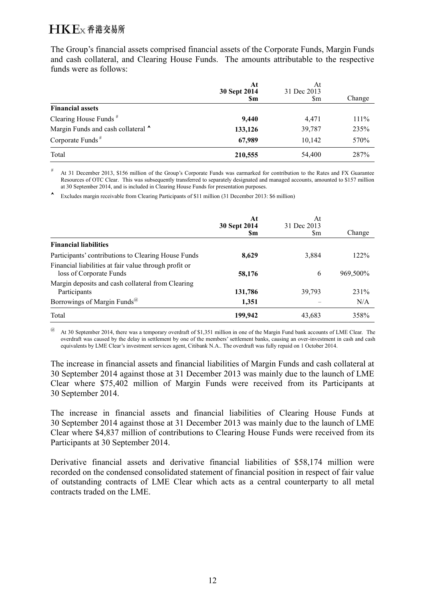The Group's financial assets comprised financial assets of the Corporate Funds, Margin Funds and cash collateral, and Clearing House Funds. The amounts attributable to the respective funds were as follows:

|                                    | At<br>30 Sept 2014<br><b>Sm</b> | At<br>31 Dec 2013<br>\$m | Change  |
|------------------------------------|---------------------------------|--------------------------|---------|
| <b>Financial assets</b>            |                                 |                          |         |
| Clearing House Funds $#$           | 9,440                           | 4,471                    | $111\%$ |
| Margin Funds and cash collateral ^ | 133,126                         | 39,787                   | 235%    |
| Corporate Funds <sup>#</sup>       | 67,989                          | 10,142                   | 570%    |
| Total                              | 210,555                         | 54,400                   | 287%    |

# At 31 December 2013, \$156 million of the Group's Corporate Funds was earmarked for contribution to the Rates and FX Guarantee Resources of OTC Clear. This was subsequently transferred to separately designated and managed accounts, amounted to \$157 million at 30 September 2014, and is included in Clearing House Funds for presentation purposes.

Excludes margin receivable from Clearing Participants of \$11 million (31 December 2013: \$6 million)

|                                                       | At<br>30 Sept 2014 | At<br>31 Dec 2013 |          |
|-------------------------------------------------------|--------------------|-------------------|----------|
|                                                       | Sm                 | Sm                | Change   |
| <b>Financial liabilities</b>                          |                    |                   |          |
| Participants' contributions to Clearing House Funds   | 8,629              | 3,884             | 122%     |
| Financial liabilities at fair value through profit or |                    |                   |          |
| loss of Corporate Funds                               | 58,176             | 6                 | 969,500% |
| Margin deposits and cash collateral from Clearing     |                    |                   |          |
| Participants                                          | 131,786            | 39,793            | 231\%    |
| Borrowings of Margin Funds <sup>@</sup>               | 1,351              |                   | N/A      |
| Total                                                 | 199,942            | 43,683            | 358%     |

@ At 30 September 2014, there was a temporary overdraft of \$1,351 million in one of the Margin Fund bank accounts of LME Clear. The overdraft was caused by the delay in settlement by one of the members' settlement banks, causing an over-investment in cash and cash equivalents by LME Clear's investment services agent, Citibank N.A.. The overdraft was fully repaid on 1 October 2014.

The increase in financial assets and financial liabilities of Margin Funds and cash collateral at 30 September 2014 against those at 31 December 2013 was mainly due to the launch of LME Clear where \$75,402 million of Margin Funds were received from its Participants at 30 September 2014.

The increase in financial assets and financial liabilities of Clearing House Funds at 30 September 2014 against those at 31 December 2013 was mainly due to the launch of LME Clear where \$4,837 million of contributions to Clearing House Funds were received from its Participants at 30 September 2014.

Derivative financial assets and derivative financial liabilities of \$58,174 million were recorded on the condensed consolidated statement of financial position in respect of fair value of outstanding contracts of LME Clear which acts as a central counterparty to all metal contracts traded on the LME.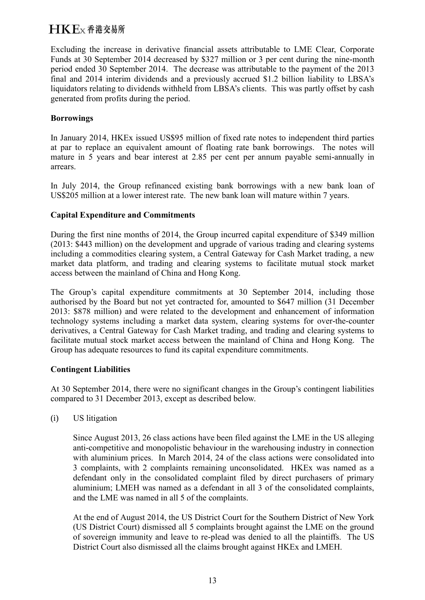Excluding the increase in derivative financial assets attributable to LME Clear, Corporate Funds at 30 September 2014 decreased by \$327 million or 3 per cent during the nine-month period ended 30 September 2014. The decrease was attributable to the payment of the 2013 final and 2014 interim dividends and a previously accrued \$1.2 billion liability to LBSA's liquidators relating to dividends withheld from LBSA's clients. This was partly offset by cash generated from profits during the period.

### **Borrowings**

In January 2014, HKEx issued US\$95 million of fixed rate notes to independent third parties at par to replace an equivalent amount of floating rate bank borrowings. The notes will mature in 5 years and bear interest at 2.85 per cent per annum payable semi-annually in arrears.

In July 2014, the Group refinanced existing bank borrowings with a new bank loan of US\$205 million at a lower interest rate. The new bank loan will mature within 7 years.

### **Capital Expenditure and Commitments**

During the first nine months of 2014, the Group incurred capital expenditure of \$349 million (2013: \$443 million) on the development and upgrade of various trading and clearing systems including a commodities clearing system, a Central Gateway for Cash Market trading, a new market data platform, and trading and clearing systems to facilitate mutual stock market access between the mainland of China and Hong Kong.

The Group's capital expenditure commitments at 30 September 2014, including those authorised by the Board but not yet contracted for, amounted to \$647 million (31 December 2013: \$878 million) and were related to the development and enhancement of information technology systems including a market data system, clearing systems for over-the-counter derivatives, a Central Gateway for Cash Market trading, and trading and clearing systems to facilitate mutual stock market access between the mainland of China and Hong Kong. The Group has adequate resources to fund its capital expenditure commitments.

### **Contingent Liabilities**

At 30 September 2014, there were no significant changes in the Group's contingent liabilities compared to 31 December 2013, except as described below.

(i) US litigation

Since August 2013, 26 class actions have been filed against the LME in the US alleging anti-competitive and monopolistic behaviour in the warehousing industry in connection with aluminium prices. In March 2014, 24 of the class actions were consolidated into 3 complaints, with 2 complaints remaining unconsolidated. HKEx was named as a defendant only in the consolidated complaint filed by direct purchasers of primary aluminium; LMEH was named as a defendant in all 3 of the consolidated complaints, and the LME was named in all 5 of the complaints.

At the end of August 2014, the US District Court for the Southern District of New York (US District Court) dismissed all 5 complaints brought against the LME on the ground of sovereign immunity and leave to re-plead was denied to all the plaintiffs. The US District Court also dismissed all the claims brought against HKEx and LMEH.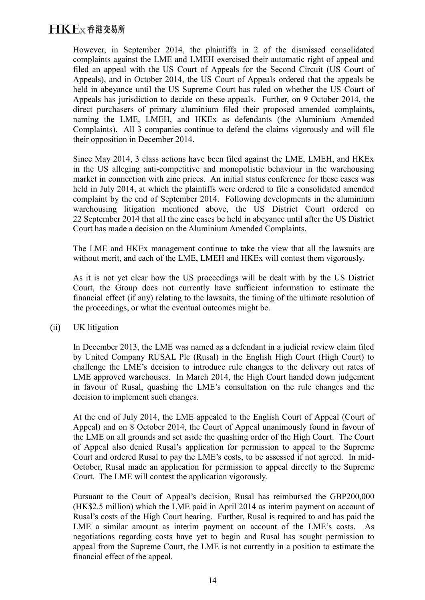However, in September 2014, the plaintiffs in 2 of the dismissed consolidated complaints against the LME and LMEH exercised their automatic right of appeal and filed an appeal with the US Court of Appeals for the Second Circuit (US Court of Appeals), and in October 2014, the US Court of Appeals ordered that the appeals be held in abeyance until the US Supreme Court has ruled on whether the US Court of Appeals has jurisdiction to decide on these appeals. Further, on 9 October 2014, the direct purchasers of primary aluminium filed their proposed amended complaints, naming the LME, LMEH, and HKEx as defendants (the Aluminium Amended Complaints). All 3 companies continue to defend the claims vigorously and will file their opposition in December 2014.

Since May 2014, 3 class actions have been filed against the LME, LMEH, and HKEx in the US alleging anti-competitive and monopolistic behaviour in the warehousing market in connection with zinc prices. An initial status conference for these cases was held in July 2014, at which the plaintiffs were ordered to file a consolidated amended complaint by the end of September 2014. Following developments in the aluminium warehousing litigation mentioned above, the US District Court ordered on 22 September 2014 that all the zinc cases be held in abeyance until after the US District Court has made a decision on the Aluminium Amended Complaints.

The LME and HKEx management continue to take the view that all the lawsuits are without merit, and each of the LME, LMEH and HKEx will contest them vigorously.

As it is not yet clear how the US proceedings will be dealt with by the US District Court, the Group does not currently have sufficient information to estimate the financial effect (if any) relating to the lawsuits, the timing of the ultimate resolution of the proceedings, or what the eventual outcomes might be.

### (ii) UK litigation

In December 2013, the LME was named as a defendant in a judicial review claim filed by United Company RUSAL Plc (Rusal) in the English High Court (High Court) to challenge the LME's decision to introduce rule changes to the delivery out rates of LME approved warehouses. In March 2014, the High Court handed down judgement in favour of Rusal, quashing the LME's consultation on the rule changes and the decision to implement such changes.

At the end of July 2014, the LME appealed to the English Court of Appeal (Court of Appeal) and on 8 October 2014, the Court of Appeal unanimously found in favour of the LME on all grounds and set aside the quashing order of the High Court. The Court of Appeal also denied Rusal's application for permission to appeal to the Supreme Court and ordered Rusal to pay the LME's costs, to be assessed if not agreed. In mid-October, Rusal made an application for permission to appeal directly to the Supreme Court. The LME will contest the application vigorously.

Pursuant to the Court of Appeal's decision, Rusal has reimbursed the GBP200,000 (HK\$2.5 million) which the LME paid in April 2014 as interim payment on account of Rusal's costs of the High Court hearing. Further, Rusal is required to and has paid the LME a similar amount as interim payment on account of the LME's costs. As negotiations regarding costs have yet to begin and Rusal has sought permission to appeal from the Supreme Court, the LME is not currently in a position to estimate the financial effect of the appeal.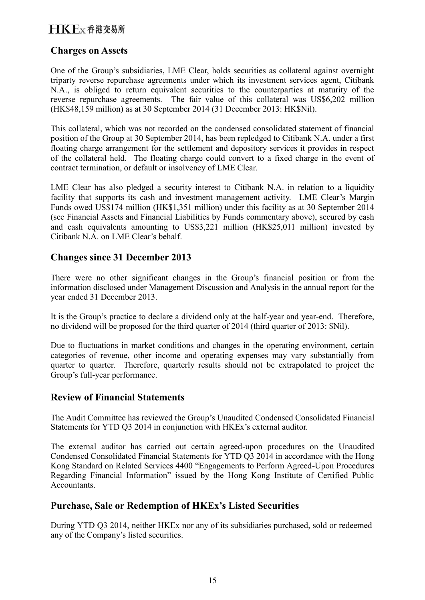## $H K F_X$   $\Phi$  港 交易所

### **Charges on Assets**

One of the Group's subsidiaries, LME Clear, holds securities as collateral against overnight triparty reverse repurchase agreements under which its investment services agent, Citibank N.A., is obliged to return equivalent securities to the counterparties at maturity of the reverse repurchase agreements. The fair value of this collateral was US\$6,202 million (HK\$48,159 million) as at 30 September 2014 (31 December 2013: HK\$Nil).

This collateral, which was not recorded on the condensed consolidated statement of financial position of the Group at 30 September 2014, has been repledged to Citibank N.A. under a first floating charge arrangement for the settlement and depository services it provides in respect of the collateral held. The floating charge could convert to a fixed charge in the event of contract termination, or default or insolvency of LME Clear.

LME Clear has also pledged a security interest to Citibank N.A. in relation to a liquidity facility that supports its cash and investment management activity. LME Clear's Margin Funds owed US\$174 million (HK\$1,351 million) under this facility as at 30 September 2014 (see Financial Assets and Financial Liabilities by Funds commentary above), secured by cash and cash equivalents amounting to US\$3,221 million (HK\$25,011 million) invested by Citibank N.A. on LME Clear's behalf.

## **Changes since 31 December 2013**

There were no other significant changes in the Group's financial position or from the information disclosed under Management Discussion and Analysis in the annual report for the year ended 31 December 2013.

It is the Group's practice to declare a dividend only at the half-year and year-end. Therefore, no dividend will be proposed for the third quarter of 2014 (third quarter of 2013: \$Nil).

Due to fluctuations in market conditions and changes in the operating environment, certain categories of revenue, other income and operating expenses may vary substantially from quarter to quarter. Therefore, quarterly results should not be extrapolated to project the Group's full-year performance.

### **Review of Financial Statements**

The Audit Committee has reviewed the Group's Unaudited Condensed Consolidated Financial Statements for YTD Q3 2014 in conjunction with HKEx's external auditor.

The external auditor has carried out certain agreed-upon procedures on the Unaudited Condensed Consolidated Financial Statements for YTD Q3 2014 in accordance with the Hong Kong Standard on Related Services 4400 "Engagements to Perform Agreed-Upon Procedures Regarding Financial Information" issued by the Hong Kong Institute of Certified Public Accountants.

## **Purchase, Sale or Redemption of HKEx's Listed Securities**

During YTD Q3 2014, neither HKEx nor any of its subsidiaries purchased, sold or redeemed any of the Company's listed securities.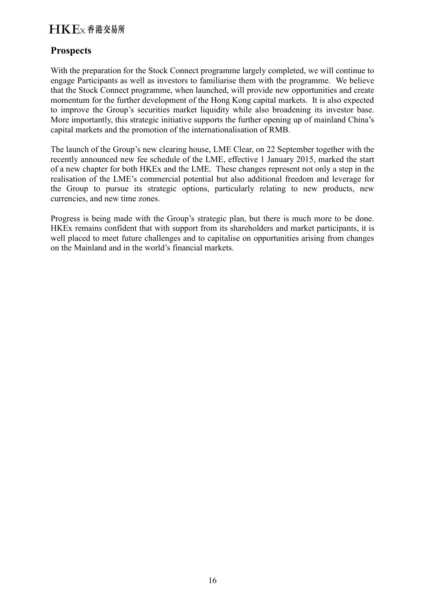## **Prospects**

With the preparation for the Stock Connect programme largely completed, we will continue to engage Participants as well as investors to familiarise them with the programme. We believe that the Stock Connect programme, when launched, will provide new opportunities and create momentum for the further development of the Hong Kong capital markets. It is also expected to improve the Group's securities market liquidity while also broadening its investor base. More importantly, this strategic initiative supports the further opening up of mainland China's capital markets and the promotion of the internationalisation of RMB.

The launch of the Group's new clearing house, LME Clear, on 22 September together with the recently announced new fee schedule of the LME, effective 1 January 2015, marked the start of a new chapter for both HKEx and the LME. These changes represent not only a step in the realisation of the LME's commercial potential but also additional freedom and leverage for the Group to pursue its strategic options, particularly relating to new products, new currencies, and new time zones.

Progress is being made with the Group's strategic plan, but there is much more to be done. HKEx remains confident that with support from its shareholders and market participants, it is well placed to meet future challenges and to capitalise on opportunities arising from changes on the Mainland and in the world's financial markets.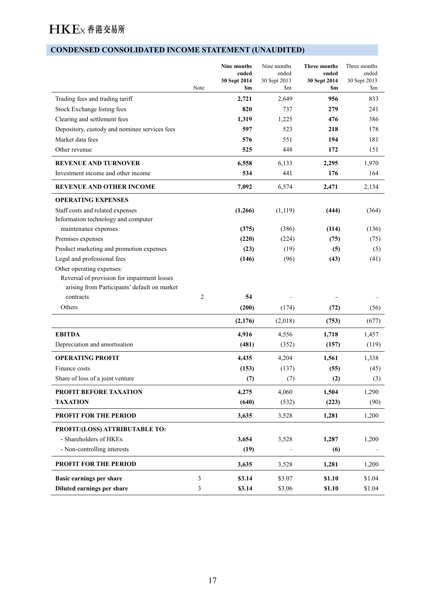## **CONDENSED CONSOLIDATED INCOME STATEMENT (UNAUDITED)**

|                                                                                                                                       | Note           | Nine months<br>ended<br>30 Sept 2014<br>\$m | Nine months<br>ended<br>30 Sept 2013<br>\$m | <b>Three months</b><br>ended<br>30 Sept 2014<br>\$m | Three months<br>ended<br>30 Sept 2013<br>\$m |
|---------------------------------------------------------------------------------------------------------------------------------------|----------------|---------------------------------------------|---------------------------------------------|-----------------------------------------------------|----------------------------------------------|
| Trading fees and trading tariff                                                                                                       |                | 2,721                                       | 2,649                                       | 956                                                 | 833                                          |
| Stock Exchange listing fees                                                                                                           |                | 820                                         | 737                                         | 279                                                 | 241                                          |
| Clearing and settlement fees                                                                                                          |                | 1,319                                       | 1,225                                       | 476                                                 | 386                                          |
| Depository, custody and nominee services fees                                                                                         |                | 597                                         | 523                                         | 218                                                 | 178                                          |
| Market data fees                                                                                                                      |                | 576                                         | 551                                         | 194                                                 | 181                                          |
| Other revenue                                                                                                                         |                | 525                                         | 448                                         | 172                                                 | 151                                          |
| <b>REVENUE AND TURNOVER</b>                                                                                                           |                | 6,558                                       | 6,133                                       | 2,295                                               | 1,970                                        |
| Investment income and other income                                                                                                    |                | 534                                         | 441                                         | 176                                                 | 164                                          |
| <b>REVENUE AND OTHER INCOME</b>                                                                                                       |                | 7,092                                       | 6,574                                       | 2,471                                               | 2,134                                        |
| <b>OPERATING EXPENSES</b>                                                                                                             |                |                                             |                                             |                                                     |                                              |
| Staff costs and related expenses                                                                                                      |                | (1,266)                                     | (1, 119)                                    | (444)                                               | (364)                                        |
| Information technology and computer                                                                                                   |                |                                             |                                             |                                                     |                                              |
| maintenance expenses                                                                                                                  |                | (375)                                       | (386)                                       | (114)                                               | (136)                                        |
| Premises expenses                                                                                                                     |                | (220)                                       | (224)                                       | (75)                                                | (75)                                         |
| Product marketing and promotion expenses                                                                                              |                | (23)                                        | (19)                                        | (5)                                                 | (5)                                          |
| Legal and professional fees                                                                                                           |                | (146)                                       | (96)                                        | (43)                                                | (41)                                         |
| Other operating expenses:<br>Reversal of provision for impairment losses<br>arising from Participants' default on market<br>contracts | 2              | 54                                          |                                             |                                                     |                                              |
|                                                                                                                                       |                |                                             |                                             |                                                     |                                              |
| Others                                                                                                                                |                | (200)                                       | (174)                                       | (72)                                                | (56)                                         |
|                                                                                                                                       |                | (2,176)                                     | (2,018)                                     | (753)                                               | (677)                                        |
| <b>EBITDA</b>                                                                                                                         |                | 4,916                                       | 4,556                                       | 1,718                                               | 1,457                                        |
| Depreciation and amortisation                                                                                                         |                | (481)                                       | (352)                                       | (157)                                               | (119)                                        |
| <b>OPERATING PROFIT</b>                                                                                                               |                | 4,435                                       | 4,204                                       | 1,561                                               | 1,338                                        |
| Finance costs                                                                                                                         |                | (153)                                       | (137)                                       | (55)                                                | (45)                                         |
| Share of loss of a joint venture                                                                                                      |                | (7)                                         | (7)                                         | (2)                                                 | (3)                                          |
| PROFIT BEFORE TAXATION                                                                                                                |                | 4,275                                       | 4,060                                       | 1,504                                               | 1,290                                        |
| <b>TAXATION</b>                                                                                                                       |                | (640)                                       | (532)                                       | (223)                                               | (90)                                         |
| PROFIT FOR THE PERIOD                                                                                                                 |                | 3,635                                       | 3,528                                       | 1,281                                               | 1,200                                        |
| PROFIT/(LOSS) ATTRIBUTABLE TO:                                                                                                        |                |                                             |                                             |                                                     |                                              |
| - Shareholders of HKEx                                                                                                                |                | 3,654                                       | 3,528                                       | 1,287                                               | 1,200                                        |
| - Non-controlling interests                                                                                                           |                | (19)                                        |                                             | (6)                                                 |                                              |
| <b>PROFIT FOR THE PERIOD</b>                                                                                                          |                | 3,635                                       | 3,528                                       | 1,281                                               | 1,200                                        |
| Basic earnings per share                                                                                                              | $\mathfrak{Z}$ | \$3.14                                      | \$3.07                                      | \$1.10                                              | \$1.04                                       |
| Diluted earnings per share                                                                                                            | 3              | \$3.14                                      | \$3.06                                      | \$1.10                                              | \$1.04                                       |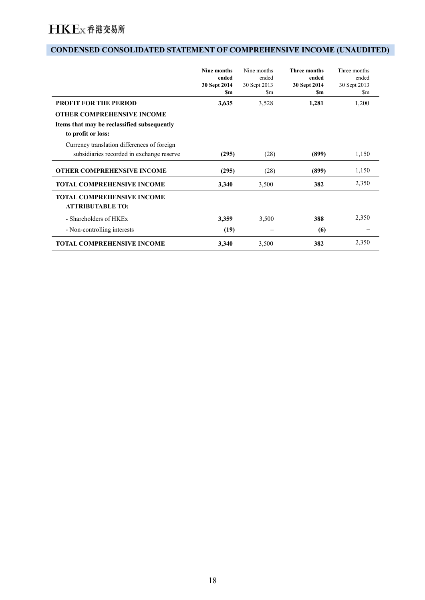### **CONDENSED CONSOLIDATED STATEMENT OF COMPREHENSIVE INCOME (UNAUDITED)**

|                                                                                                                  | <b>Nine months</b><br>ended<br>30 Sept 2014<br>Sm | Nine months<br>ended<br>30 Sept 2013<br>\$m | <b>Three months</b><br>ended<br>30 Sept 2014<br><b>Sm</b> | Three months<br>ended<br>30 Sept 2013<br>$\mathbf{\S}$ m |
|------------------------------------------------------------------------------------------------------------------|---------------------------------------------------|---------------------------------------------|-----------------------------------------------------------|----------------------------------------------------------|
| <b>PROFIT FOR THE PERIOD</b>                                                                                     | 3,635                                             | 3,528                                       | 1,281                                                     | 1,200                                                    |
| <b>OTHER COMPREHENSIVE INCOME</b>                                                                                |                                                   |                                             |                                                           |                                                          |
| Items that may be reclassified subsequently<br>to profit or loss:<br>Currency translation differences of foreign |                                                   |                                             |                                                           |                                                          |
| subsidiaries recorded in exchange reserve                                                                        | (295)                                             | (28)                                        | (899)                                                     | 1,150                                                    |
| <b>OTHER COMPREHENSIVE INCOME</b>                                                                                | (295)                                             | (28)                                        | (899)                                                     | 1,150                                                    |
| <b>TOTAL COMPREHENSIVE INCOME</b>                                                                                | 3,340                                             | 3,500                                       | 382                                                       | 2,350                                                    |
| <b>TOTAL COMPREHENSIVE INCOME</b><br><b>ATTRIBUTABLE TO:</b>                                                     |                                                   |                                             |                                                           |                                                          |
| - Shareholders of HKEx                                                                                           | 3,359                                             | 3,500                                       | 388                                                       | 2,350                                                    |
| - Non-controlling interests                                                                                      | (19)                                              |                                             | (6)                                                       |                                                          |
| <b>TOTAL COMPREHENSIVE INCOME</b>                                                                                | 3,340                                             | 3,500                                       | 382                                                       | 2,350                                                    |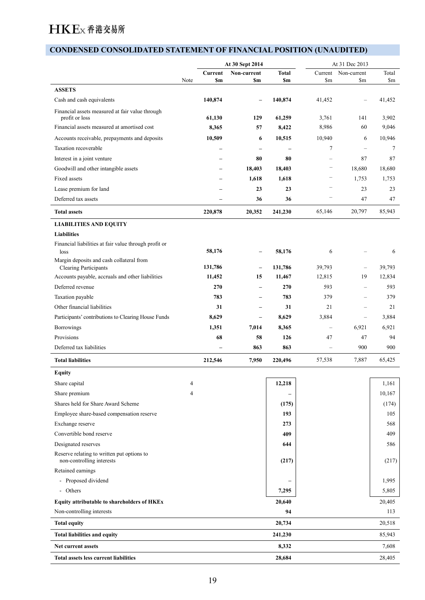### **CONDENSED CONSOLIDATED STATEMENT OF FINANCIAL POSITION (UNAUDITED)**

|                                                                         |                |                          | At 30 Sept 2014                  |                          | At 31 Dec 2013           |                                      |                        |
|-------------------------------------------------------------------------|----------------|--------------------------|----------------------------------|--------------------------|--------------------------|--------------------------------------|------------------------|
|                                                                         | Note           | <b>Sm</b>                | Current Non-current<br><b>Sm</b> | <b>Total</b><br>\$m      | $\mathbf{Sm}$            | Current Non-current<br>$\mathbf{Sm}$ | Total<br>$\mathbf{Sm}$ |
| <b>ASSETS</b>                                                           |                |                          |                                  |                          |                          |                                      |                        |
| Cash and cash equivalents                                               |                | 140,874                  | $\overline{\phantom{m}}$         | 140,874                  | 41,452                   | $\overline{\phantom{m}}$             | 41,452                 |
| Financial assets measured at fair value through<br>profit or loss       |                | 61,130                   | 129                              | 61,259                   | 3,761                    | 141                                  | 3,902                  |
| Financial assets measured at amortised cost                             |                | 8,365                    | 57                               | 8,422                    | 8,986                    | 60                                   | 9,046                  |
| Accounts receivable, prepayments and deposits                           |                | 10,509                   | -6                               | 10,515                   | 10,940                   | 6                                    | 10,946                 |
| Taxation recoverable                                                    |                | -                        | $\qquad \qquad -$                | $\overline{\phantom{m}}$ | $\overline{7}$           | $\overline{\phantom{m}}$             | $7\phantom{.0}$        |
| Interest in a joint venture                                             |                | -                        | 80                               | 80                       | $\overline{\phantom{m}}$ | 87                                   | 87                     |
| Goodwill and other intangible assets                                    |                | -                        | 18,403                           | 18,403                   | $\overline{\phantom{m}}$ | 18,680                               | 18,680                 |
| Fixed assets                                                            |                |                          | 1,618                            | 1,618                    | $\overline{\phantom{m}}$ | 1,753                                | 1,753                  |
|                                                                         |                | $\overline{\phantom{0}}$ |                                  |                          | $\overline{\phantom{m}}$ |                                      |                        |
| Lease premium for land                                                  |                | $\overline{\phantom{0}}$ | 23                               | 23                       | $\overline{\phantom{m}}$ | 23                                   | 23                     |
| Deferred tax assets                                                     |                | $\overline{\phantom{0}}$ | 36                               | 36                       |                          | 47                                   | 47                     |
| <b>Total assets</b>                                                     |                | 220,878                  | 20,352                           | 241,230                  | 65,146                   | 20,797                               | 85,943                 |
| <b>LIABILITIES AND EQUITY</b>                                           |                |                          |                                  |                          |                          |                                      |                        |
| <b>Liabilities</b>                                                      |                |                          |                                  |                          |                          |                                      |                        |
| Financial liabilities at fair value through profit or<br>loss           |                | 58,176                   | $\overline{\phantom{a}}$         | 58,176                   | 6                        | $\overline{\phantom{m}}$             | 6                      |
| Margin deposits and cash collateral from                                |                |                          |                                  |                          |                          |                                      |                        |
| Clearing Participants                                                   |                | 131,786                  | $\overline{\phantom{a}}$         | 131,786                  | 39,793                   | $\overline{\phantom{m}}$             | 39,793                 |
| Accounts payable, accruals and other liabilities<br>Deferred revenue    |                | 11,452<br>270            | 15                               | 11,467<br>270            | 12,815<br>593            | 19                                   | 12,834<br>593          |
|                                                                         |                |                          | $\overline{\phantom{a}}$         |                          |                          | $\overline{\phantom{m}}$             |                        |
| Taxation payable                                                        |                | 783                      | $\overline{\phantom{a}}$         | 783                      | 379                      | $\overline{\phantom{0}}$             | 379                    |
| Other financial liabilities                                             |                | 31                       | $\overline{\phantom{a}}$         | 31                       | 21                       | $\overline{\phantom{m}}$             | 21                     |
| Participants' contributions to Clearing House Funds                     |                | 8,629                    | $\overline{\phantom{a}}$         | 8,629                    | 3,884                    | $\overline{\phantom{m}}$             | 3,884                  |
| Borrowings                                                              |                | 1,351                    | 7,014                            | 8,365                    | $\overline{\phantom{a}}$ | 6,921                                | 6,921                  |
| Provisions                                                              |                | 68                       | 58                               | 126                      | 47                       | 47                                   | 94                     |
| Deferred tax liabilities                                                |                | $\overline{\phantom{a}}$ | 863                              | 863                      | $\overline{\phantom{a}}$ | 900                                  | 900                    |
| <b>Total liabilities</b>                                                |                | 212,546                  | 7,950                            | 220,496                  | 57,538                   | 7,887                                | 65,425                 |
| <b>Equity</b>                                                           |                |                          |                                  |                          |                          |                                      |                        |
| Share capital                                                           | $\overline{4}$ |                          |                                  | 12,218                   |                          |                                      | 1,161                  |
| Share premium                                                           |                |                          |                                  |                          |                          |                                      | 10,167                 |
| Shares held for Share Award Scheme                                      |                |                          |                                  | (175)                    |                          |                                      | (174)                  |
| Employee share-based compensation reserve                               |                |                          |                                  | 193                      |                          |                                      | 105                    |
| Exchange reserve                                                        |                |                          |                                  | 273                      |                          |                                      | 568                    |
| Convertible bond reserve                                                |                |                          |                                  | 409                      |                          |                                      | 409                    |
| Designated reserves                                                     |                |                          |                                  | 644                      |                          |                                      | 586                    |
| Reserve relating to written put options to<br>non-controlling interests |                |                          |                                  | (217)                    |                          |                                      | (217)                  |
| Retained earnings                                                       |                |                          |                                  |                          |                          |                                      |                        |
| - Proposed dividend                                                     |                |                          |                                  |                          |                          |                                      | 1,995                  |
| - Others                                                                |                |                          |                                  | 7,295                    |                          |                                      | 5,805                  |
|                                                                         |                |                          |                                  |                          |                          |                                      |                        |
| Equity attributable to shareholders of HKEx                             |                |                          |                                  | 20,640                   |                          |                                      | 20,405                 |
| Non-controlling interests                                               |                |                          |                                  | 94                       |                          |                                      | 113                    |
| <b>Total equity</b>                                                     |                |                          |                                  | 20,734                   |                          |                                      | 20,518                 |
| Total liabilities and equity                                            |                |                          |                                  | 241,230                  |                          |                                      | 85,943                 |
| Net current assets                                                      |                |                          |                                  | 8,332                    |                          |                                      | 7,608                  |
| Total assets less current liabilities                                   |                |                          |                                  | 28,684                   |                          |                                      | 28,405                 |
|                                                                         |                |                          |                                  |                          |                          |                                      |                        |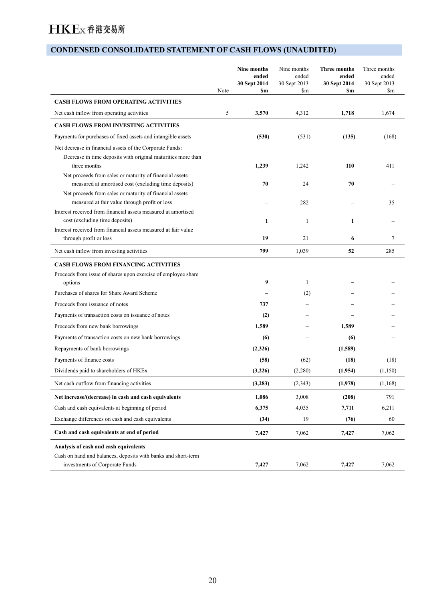## **CONDENSED CONSOLIDATED STATEMENT OF CASH FLOWS (UNAUDITED)**

|                                                                                                                          | Note | Nine months<br>ended<br>30 Sept 2014<br>\$m | Nine months<br>ended<br>30 Sept 2013<br>\$m | <b>Three months</b><br>ended<br>30 Sept 2014<br>\$m | Three months<br>ended<br>30 Sept 2013<br>\$m |
|--------------------------------------------------------------------------------------------------------------------------|------|---------------------------------------------|---------------------------------------------|-----------------------------------------------------|----------------------------------------------|
| <b>CASH FLOWS FROM OPERATING ACTIVITIES</b>                                                                              |      |                                             |                                             |                                                     |                                              |
| Net cash inflow from operating activities                                                                                | 5    | 3,570                                       | 4,312                                       | 1,718                                               | 1,674                                        |
| <b>CASH FLOWS FROM INVESTING ACTIVITIES</b>                                                                              |      |                                             |                                             |                                                     |                                              |
| Payments for purchases of fixed assets and intangible assets                                                             |      | (530)                                       | (531)                                       | (135)                                               | (168)                                        |
| Net decrease in financial assets of the Corporate Funds:<br>Decrease in time deposits with original maturities more than |      |                                             |                                             |                                                     |                                              |
| three months                                                                                                             |      | 1,239                                       | 1,242                                       | 110                                                 | 411                                          |
| Net proceeds from sales or maturity of financial assets<br>measured at amortised cost (excluding time deposits)          |      | 70                                          | 24                                          | 70                                                  |                                              |
| Net proceeds from sales or maturity of financial assets<br>measured at fair value through profit or loss                 |      |                                             | 282                                         |                                                     | 35                                           |
| Interest received from financial assets measured at amortised                                                            |      |                                             |                                             |                                                     |                                              |
| cost (excluding time deposits)                                                                                           |      | 1                                           | 1                                           | 1                                                   |                                              |
| Interest received from financial assets measured at fair value                                                           |      | 19                                          | 21                                          | 6                                                   | 7                                            |
| through profit or loss                                                                                                   |      |                                             |                                             |                                                     |                                              |
| Net cash inflow from investing activities                                                                                |      | 799                                         | 1,039                                       | 52                                                  | 285                                          |
| <b>CASH FLOWS FROM FINANCING ACTIVITIES</b>                                                                              |      |                                             |                                             |                                                     |                                              |
| Proceeds from issue of shares upon exercise of employee share<br>options                                                 |      | 9                                           | 1                                           |                                                     |                                              |
| Purchases of shares for Share Award Scheme                                                                               |      |                                             | (2)                                         |                                                     |                                              |
| Proceeds from issuance of notes                                                                                          |      | 737                                         |                                             |                                                     |                                              |
| Payments of transaction costs on issuance of notes                                                                       |      | (2)                                         |                                             |                                                     |                                              |
| Proceeds from new bank borrowings                                                                                        |      | 1,589                                       |                                             | 1,589                                               |                                              |
| Payments of transaction costs on new bank borrowings                                                                     |      | (6)                                         |                                             | (6)                                                 |                                              |
| Repayments of bank borrowings                                                                                            |      | (2,326)                                     |                                             | (1,589)                                             |                                              |
| Payments of finance costs                                                                                                |      | (58)                                        | (62)                                        | (18)                                                | (18)                                         |
| Dividends paid to shareholders of HKEx                                                                                   |      | (3,226)                                     | (2,280)                                     | (1,954)                                             | (1,150)                                      |
| Net cash outflow from financing activities                                                                               |      | (3,283)                                     | (2, 343)                                    | (1,978)                                             | (1,168)                                      |
| Net increase/(decrease) in cash and cash equivalents                                                                     |      | 1,086                                       | 3,008                                       | (208)                                               | 791                                          |
| Cash and cash equivalents at beginning of period                                                                         |      | 6,375                                       | 4,035                                       | 7,711                                               | 6,211                                        |
| Exchange differences on cash and cash equivalents                                                                        |      | (34)                                        | 19                                          | (76)                                                | 60                                           |
| Cash and cash equivalents at end of period                                                                               |      | 7,427                                       | 7,062                                       | 7,427                                               | 7,062                                        |
| Analysis of cash and cash equivalents                                                                                    |      |                                             |                                             |                                                     |                                              |
| Cash on hand and balances, deposits with banks and short-term<br>investments of Corporate Funds                          |      | 7,427                                       | 7,062                                       | 7,427                                               | 7,062                                        |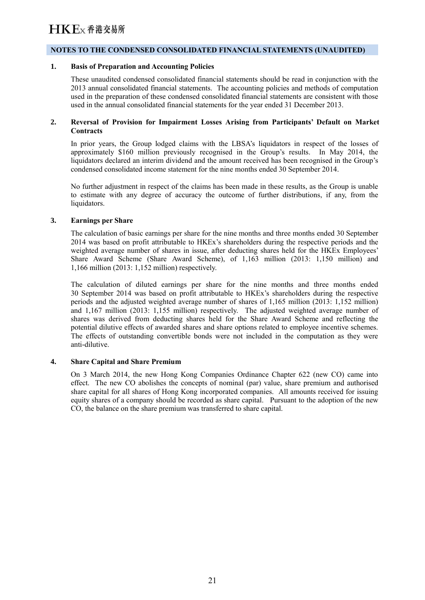#### **NOTES TO THE CONDENSED CONSOLIDATED FINANCIAL STATEMENTS (UNAUDITED)**

#### **1. Basis of Preparation and Accounting Policies**

These unaudited condensed consolidated financial statements should be read in conjunction with the 2013 annual consolidated financial statements. The accounting policies and methods of computation used in the preparation of these condensed consolidated financial statements are consistent with those used in the annual consolidated financial statements for the year ended 31 December 2013.

#### **2. Reversal of Provision for Impairment Losses Arising from Participants' Default on Market Contracts**

In prior years, the Group lodged claims with the LBSA's liquidators in respect of the losses of approximately \$160 million previously recognised in the Group's results. In May 2014, the liquidators declared an interim dividend and the amount received has been recognised in the Group's condensed consolidated income statement for the nine months ended 30 September 2014.

No further adjustment in respect of the claims has been made in these results, as the Group is unable to estimate with any degree of accuracy the outcome of further distributions, if any, from the liquidators.

#### **3. Earnings per Share**

The calculation of basic earnings per share for the nine months and three months ended 30 September 2014 was based on profit attributable to HKEx's shareholders during the respective periods and the weighted average number of shares in issue, after deducting shares held for the HKEx Employees' Share Award Scheme (Share Award Scheme), of 1,163 million (2013: 1,150 million) and 1,166 million (2013: 1,152 million) respectively.

The calculation of diluted earnings per share for the nine months and three months ended 30 September 2014 was based on profit attributable to HKEx's shareholders during the respective periods and the adjusted weighted average number of shares of 1,165 million (2013: 1,152 million) and 1,167 million (2013: 1,155 million) respectively. The adjusted weighted average number of shares was derived from deducting shares held for the Share Award Scheme and reflecting the potential dilutive effects of awarded shares and share options related to employee incentive schemes. The effects of outstanding convertible bonds were not included in the computation as they were anti-dilutive.

#### **4. Share Capital and Share Premium**

On 3 March 2014, the new Hong Kong Companies Ordinance Chapter 622 (new CO) came into effect. The new CO abolishes the concepts of nominal (par) value, share premium and authorised share capital for all shares of Hong Kong incorporated companies. All amounts received for issuing equity shares of a company should be recorded as share capital. Pursuant to the adoption of the new CO, the balance on the share premium was transferred to share capital.